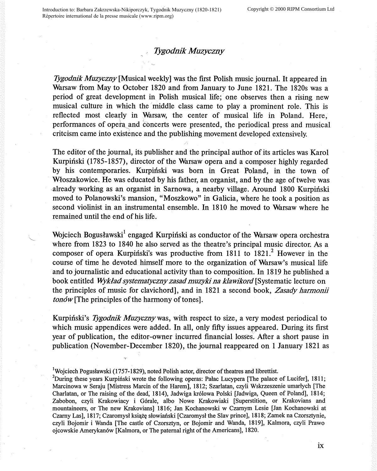## *Tygodnik Muzyczny*

*Tygodnik Muzyczny* [Musical weekly] was the first Polish music journal. It appeared in Warsaw from May to October 1820 and from January to June 1821. The 1820s was a period of great development in Polish musical life; one observes then a rising new musical culture in which the middle class came to play a prominent role. This is reflected most clearly in Warsaw, the center of musical life in Poland. Here, performances of opera and concerts were presented, the periodical press and musical critcism came into existence and the publishing movement developed extensively.

The editor of the journal, its publisher and the principal author of its articles was Karol Kurpiński (1785-1857), director of the Warsaw opera and a composer highly regarded by his contemporaries. Kurpinski was born in Great Poland, in the town of Wfoszakowice. He was educated by his father, an organist, and by the age of twelve was already working as an organist in Sarnowa, a nearby village. Around 1800 Kurpiński moved to Polanowski's mansion, "Moszkowo" in Galicia, where he took a position as second violinist in an instrumental ensemble. In 1810 he moved to Warsaw where he remained until the end of his life.

Wojciech Bogusławski<sup>1</sup> engaged Kurpiński as conductor of the Warsaw opera orchestra where from 1823 to 1840 he also served as the theatre's principal music director. As a composer of opera Kurpinski's was productive from  $1811$  to  $1821$ <sup>2</sup>. However in the course of time he devoted himself more to the organization of Warsaw's musical life and to journalistic and educational activity than to composition. In 1819 he published a book entitled *Wykład systematyczny zasad muzyki na klawikord* [Systematic lecture on the principles of music for clavichord], and in 1821 a second book, *Zasady harmonii ton6w[The* principles of the harmony of tones].

Kurpinski's *Iygodnik Muzycznywas,* with respect to size, a very modest periodical to which music appendices were added. In all, only fifty issues appeared. During its first year of publication, the editor-owner incurred financial losses. After a short pause in publication (November-December 1820), the journal reappeared on 1 January 1821 as

<sup>&</sup>lt;sup>1</sup>Wojciech Pogusławski (1757-1829), noted Polish actor, director of theatres and librettist.<br><sup>2</sup>During these vesse Kumitalii waste the following energy Pelas I verman libre polace.

<sup>&</sup>lt;sup>2</sup>During these years Kurpinski wrote the following operas: Palac Lucypera [The palace of Lucifer], 1811; Marcinowa w Seraju [Mistress Marcin of the Harem], 1812; Szarlatan, czyli Wskrzeszenie umarlych [The Charlatan, or The raising of the dead; 1814), Jadwiga kr6lowa Polski [Jadwiga, Queen of Poland], 1814; Zabobon, czyli Krakowiacy i G6rale, albo Nowe Krakowiaki [Superstition, or Krakovians and mountaineers, or The new Krakovians] 1816; Jan Kochanowski w Czarnym Lesie [Jan Kochanowski at Czarny Las], 1817; Czaromysł książę słowiański [Czaromysł the Slav prince], 1818; Zamek na Czorsztynie, czyli Bojomir i Wanda [The castle of Czorsztyn, or Bojomir and Wanda, 1819], Kalmora, czyli Prawo ojcowskie Amerykan6w [Kalmora, or The paternal right of the Americans], 1820.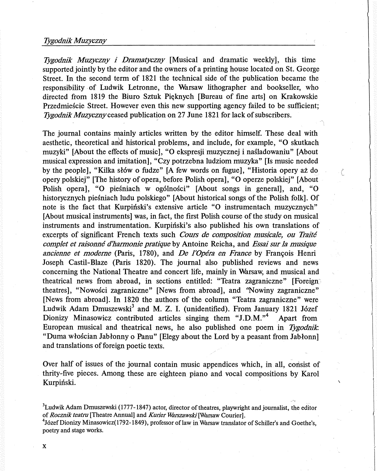## *Tygodnik Muzyczny*

*Tygodnik Muzyczny i Dramatyczny* [Musical and dramatic weekly], this time supported jointly by the editor and the owners of a printing house located on St. George Street. In the second term of 1821 the technical side of the publication became the responsibility . of Ludwik Letronne, the Warsaw lithographer and bookseller, who directed from 1819 the Biuro Sztuk Pięknych [Bureau of fine arts] on Krakowskie Przedmiescie Street. However even this new supporting agency failed to be sufficient; *Tygodnik Muzycznyceased* publication on 27 June 1821 for lack of subscribers.

The journal contains mainly articles written by the editor himself. These deal with aesthetic, theoretical an'd historical problems, and include, for example, **"O** skutkach muzyki" [About the effects of music], **"O** ekspresji muzycznej i nasladowaniu" [About musical expression and imitation], "Czy potrzebna ludziom muzyka" [Is music needed by the people], "Kilka słów o fudze" [A few words on fugue], "Historia opery aż do opery polskiej" [The history of opera, before Polish opera], **"O** operze polskiej" [About Polish opera], "O pieśniach w ogólności" [About songs in general], and, "O historycznych piesniach ludu polskiego" [About historical songs of the Polish folk]. Of note is the fact that Kurpinski's extensive article **"O** instrumentach muzycznych" [About musical instruments] was, in fact, the first Polish course of the study on musical instruments and instrumentation. Kurpinski's also published his own translations of excerpts of significant French texts such *Cours de composition musicale, ou Trait6 complet et raisonne d'hannonie pratique* by Antoine Reicha, and *Essai sur la musique ancienne et modeme* (Paris, 1780), and *De J'Opera en France* by Frarn;ois Henri Joseph Castil-Blaze (Paris 1820). The journal also published reviews and news concerning the National Theatre and concert life, mainly in Warsaw, and musical and theatrical news from abroad, in sections entitled: ''Teatra zagraniczne" [Foreign~ theatres], "Nowosci zagraniczne" [News from abroad], and "Nowiny zagraniczne" [News from abroad]. In 1820 the authors of the column "Teatra zagraniczne" were Ludwik Adam Dmuszewski<sup>3</sup> and M. Z. I. (unidentified). From January 1821 Józef Dionizy Minasowicz contributed articles singing them "J.D.M."<sup>4</sup> Apart from European musical and theatrical news, he also published one poem in *Iygodnik.*  "Duma wfoscian Jabfonny o Panu" [Elegy about the Lord by a peasant from Jabfonn] and translations of foreign poetic texts.

 $\mathcal{C}_{\mathcal{C}}$ 

Over half of issues of the journal contain music appendices which, in all, consist of thrity-five pieces. Among these are eighteen piano and vocal compositions by Karol Kurpiński.

<sup>3</sup><br>Ludwik Adam Dmuszewski (1777-1847) actor, director of theatres, playwright and journalist, the editor of *Rocznik teatru* [Theatre Annual] and *Kurier Warszawski* [Warsaw Courier]. <sup>4</sup>Józef Dionizy Minasowicz(1792-1849), professor of law in Warsaw translator of Schiller's and Goethe's, poetry and stage works.